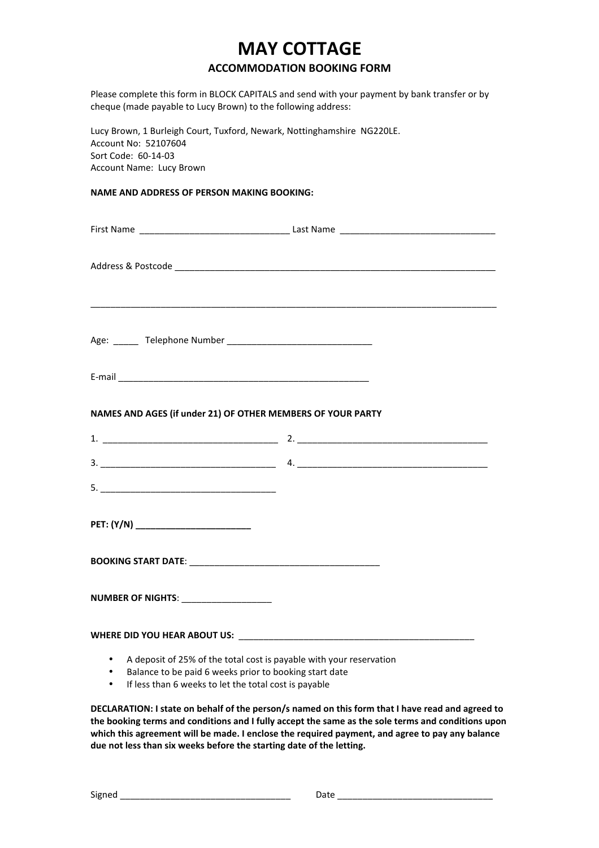## **MAY COTTAGE**

## **ACCOMMODATION BOOKING FORM**

Please complete this form in BLOCK CAPITALS and send with your payment by bank transfer or by cheque (made payable to Lucy Brown) to the following address:

Lucy Brown, 1 Burleigh Court, Tuxford, Newark, Nottinghamshire NG220LE. Account No: 52107604 Sort Code: 60-14-03 Account Name: Lucy Brown

## **NAME AND ADDRESS OF PERSON MAKING BOOKING:**

| NAMES AND AGES (if under 21) OF OTHER MEMBERS OF YOUR PARTY |  |
|-------------------------------------------------------------|--|
|                                                             |  |
|                                                             |  |
|                                                             |  |
| PET: (Y/N) _________________________                        |  |
|                                                             |  |
|                                                             |  |
|                                                             |  |

- A deposit of 25% of the total cost is payable with your reservation
- Balance to be paid 6 weeks prior to booking start date
- If less than 6 weeks to let the total cost is payable

**DECLARATION: I state on behalf of the person/s named on this form that I have read and agreed to** the booking terms and conditions and I fully accept the same as the sole terms and conditions upon which this agreement will be made. I enclose the required payment, and agree to pay any balance due not less than six weeks before the starting date of the letting.